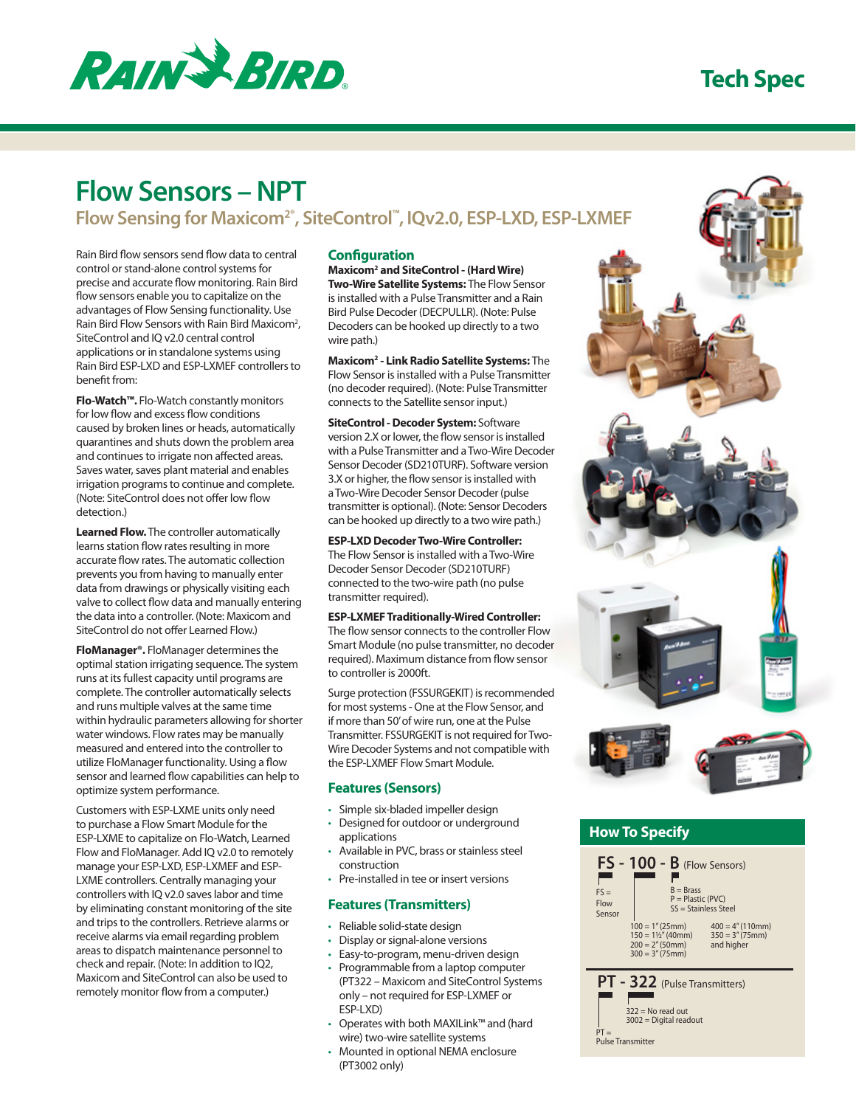

# **Tech Spec**

# **Flow Sensors – NPT**

# **Flow Sensing for Maxicom2®, SiteControl™, IQv2.0, ESP-LXD, ESP-LXMEF**

Rain Bird flow sensors send flow data to central control or stand-alone control systems for precise and accurate flow monitoring. Rain Bird flow sensors enable you to capitalize on the advantages of Flow Sensing functionality. Use Rain Bird Flow Sensors with Rain Bird Maxicom<sup>2</sup>, SiteControl and IQ v2.0 central control applications or in standalone systems using Rain Bird ESP-LXD and ESP-LXMEF controllers to benefit from:

**Flo-Watch™.** Flo-Watch constantly monitors for low flow and excess flow conditions caused by broken lines or heads, automatically quarantines and shuts down the problem area and continues to irrigate non affected areas. Saves water, saves plant material and enables irrigation programs to continue and complete. (Note: SiteControl does not offer low flow detection)

**Learned Flow.** The controller automatically learns station flow rates resulting in more accurate flow rates. The automatic collection prevents you from having to manually enter data from drawings or physically visiting each valve to collect flow data and manually entering the data into a controller. (Note: Maxicom and SiteControl do not offer Learned Flow.)

**FloManager®.** FloManager determines the optimal station irrigating sequence. The system runs at its fullest capacity until programs are complete. The controller automatically selects and runs multiple valves at the same time within hydraulic parameters allowing for shorter water windows. Flow rates may be manually measured and entered into the controller to utilize FloManager functionality. Using a flow sensor and learned flow capabilities can help to optimize system performance.

Customers with ESP-LXME units only need to purchase a Flow Smart Module for the ESP-LXME to capitalize on Flo-Watch, Learned Flow and FloManager. Add IQ v2.0 to remotely manage your ESP-LXD, ESP-LXMEF and ESP-LXME controllers. Centrally managing your controllers with IQ v2.0 saves labor and time by eliminating constant monitoring of the site and trips to the controllers. Retrieve alarms or receive alarms via email regarding problem areas to dispatch maintenance personnel to check and repair. (Note: In addition to IQ2, Maxicom and SiteControl can also be used to remotely monitor flow from a computer.)

### **Configuration**

**Maxicom2 and SiteControl - (Hard Wire) Two-Wire Satellite Systems:** The Flow Sensor is installed with a Pulse Transmitter and a Rain Bird Pulse Decoder (DECPULLR). (Note: Pulse Decoders can be hooked up directly to a two wire path.)

**Maxicom2 - Link Radio Satellite Systems:** The Flow Sensor is installed with a Pulse Transmitter (no decoder required). (Note: Pulse Transmitter connects to the Satellite sensor input.)

**SiteControl - Decoder System:** Software version 2.X or lower, the flow sensor is installed with a Pulse Transmitter and a Two-Wire Decoder Sensor Decoder (SD210TURF). Software version 3.X or higher, the flow sensor is installed with a Two-Wire Decoder Sensor Decoder (pulse transmitter is optional). (Note: Sensor Decoders can be hooked up directly to a two wire path.)

**ESP-LXD Decoder Two-Wire Controller:** The Flow Sensor is installed with a Two-Wire Decoder Sensor Decoder (SD210TURF) connected to the two-wire path (no pulse transmitter required).

#### **ESP-LXMEF Traditionally-Wired Controller:**

The flow sensor connects to the controller Flow Smart Module (no pulse transmitter, no decoder required). Maximum distance from flow sensor to controller is 2000ft.

Surge protection (FSSURGEKIT) is recommended for most systems - One at the Flow Sensor, and if more than 50' of wire run, one at the Pulse Transmitter. FSSURGEKIT is not required for Two-Wire Decoder Systems and not compatible with the ESP-LXMEF Flow Smart Module.

### **Features (Sensors)**

- • Simple six-bladed impeller design • Designed for outdoor or underground
- applications • Available in PVC, brass or stainless steel
- construction
- • Pre-installed in tee or insert versions

#### **Features (Transmitters)**

- • Reliable solid-state design
- • Display or signal-alone versions
- • Easy-to-program, menu-driven design
- Programmable from a laptop computer (PT322 – Maxicom and SiteControl Systems only – not required for ESP-LXMEF or ESP-LXD)
- • Operates with both MAXILink™ and (hard wire) two-wire satellite systems
- Mounted in optional NEMA enclosure (PT3002 only)



## **How To Specify**



PT = Pulse Transmitter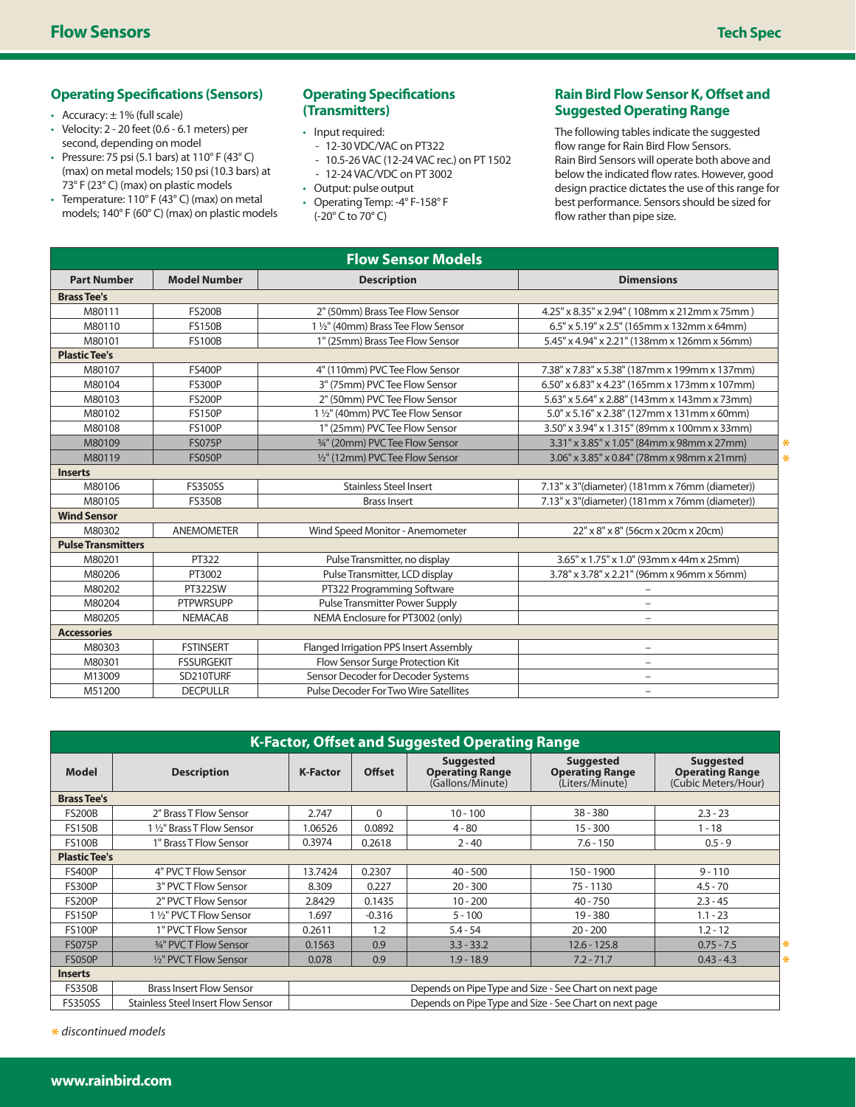# **Operating Specifications (Sensors)**

- Accuracy:  $\pm$  1% (full scale)
- • Velocity: 2 20 feet (0.6 6.1 meters) per second, depending on model
- Pressure: 75 psi (5.1 bars) at  $110^{\circ}$  F (43 $^{\circ}$  C) (max) on metal models; 150 psi (10.3 bars) at 73° F (23° C) (max) on plastic models
- Temperature:  $110^{\circ}$  F (43 $^{\circ}$  C) (max) on metal models; 140° F (60° C) (max) on plastic models

### **Operating Specifications (Transmitters)**

- Input required:
	- 12-30 VDC/VAC on PT322
	- 10.5-26 VAC (12-24 VAC rec.) on PT 1502 - 12-24 VAC/VDC on PT 3002
- • Output: pulse output
- • Operating Temp: -4° F-158° F (-20° C to 70° C)

# **Rain Bird Flow Sensor K, Offset and Suggested Operating Range**

The following tables indicate the suggested flow range for Rain Bird Flow Sensors. Rain Bird Sensors will operate both above and below the indicated flow rates. However, good design practice dictates the use of this range for best performance. Sensors should be sized for flow rather than pipe size.

| <b>Flow Sensor Models</b> |                     |                                                                                               |                                                   |  |  |  |  |
|---------------------------|---------------------|-----------------------------------------------------------------------------------------------|---------------------------------------------------|--|--|--|--|
| <b>Part Number</b>        | <b>Model Number</b> | <b>Description</b>                                                                            | <b>Dimensions</b>                                 |  |  |  |  |
| <b>Brass Tee's</b>        |                     |                                                                                               |                                                   |  |  |  |  |
| M80111                    | <b>FS200B</b>       | 2" (50mm) Brass Tee Flow Sensor                                                               | 4.25" x 8.35" x 2.94" (108mm x 212mm x 75mm)      |  |  |  |  |
| M80110                    | <b>FS150B</b>       | 1 1/2" (40mm) Brass Tee Flow Sensor<br>$6.5" \times 5.19" \times 2.5"$ (165mm x 132mm x 64mm) |                                                   |  |  |  |  |
| M80101                    | <b>FS100B</b>       | 1" (25mm) Brass Tee Flow Sensor                                                               | 5.45" x 4.94" x 2.21" (138mm x 126mm x 56mm)      |  |  |  |  |
| <b>Plastic Tee's</b>      |                     |                                                                                               |                                                   |  |  |  |  |
| M80107                    | <b>FS400P</b>       | 4" (110mm) PVC Tee Flow Sensor                                                                | 7.38" x 7.83" x 5.38" (187mm x 199mm x 137mm)     |  |  |  |  |
| M80104                    | <b>FS300P</b>       | 3" (75mm) PVC Tee Flow Sensor                                                                 | $6.50''$ x 6.83" x 4.23" (165mm x 173mm x 107mm)  |  |  |  |  |
| M80103                    | <b>FS200P</b>       | 2" (50mm) PVC Tee Flow Sensor                                                                 | 5.63" x 5.64" x 2.88" (143mm x 143mm x 73mm)      |  |  |  |  |
| M80102                    | <b>FS150P</b>       | 1 1/2" (40mm) PVC Tee Flow Sensor                                                             | 5.0" x 5.16" x 2.38" (127mm x 131mm x 60mm)       |  |  |  |  |
| M80108                    | <b>FS100P</b>       | 1" (25mm) PVC Tee Flow Sensor                                                                 | 3.50" x 3.94" x 1.315" (89mm x 100mm x 33mm)      |  |  |  |  |
| M80109                    | <b>FS075P</b>       | 3/4" (20mm) PVC Tee Flow Sensor                                                               | 3.31" x 3.85" x 1.05" (84mm x 98mm x 27mm)<br>₩   |  |  |  |  |
| M80119                    | <b>FS050P</b>       | 1/2" (12mm) PVC Tee Flow Sensor                                                               | 3.06" x 3.85" x 0.84" (78mm x 98mm x 21mm)<br>$*$ |  |  |  |  |
| <b>Inserts</b>            |                     |                                                                                               |                                                   |  |  |  |  |
| M80106                    | <b>FS350SS</b>      | <b>Stainless Steel Insert</b>                                                                 | 7.13" x 3"(diameter) (181mm x 76mm (diameter))    |  |  |  |  |
| M80105                    | <b>FS350B</b>       | <b>Brass Insert</b>                                                                           | 7.13" x 3"(diameter) (181mm x 76mm (diameter))    |  |  |  |  |
| <b>Wind Sensor</b>        |                     |                                                                                               |                                                   |  |  |  |  |
| M80302                    | <b>ANEMOMETER</b>   | Wind Speed Monitor - Anemometer                                                               | 22" x 8" x 8" (56cm x 20cm x 20cm)                |  |  |  |  |
| <b>Pulse Transmitters</b> |                     |                                                                                               |                                                   |  |  |  |  |
| M80201                    | PT322               | Pulse Transmitter, no display                                                                 | 3.65" x 1.75" x 1.0" (93mm x 44m x 25mm)          |  |  |  |  |
| M80206                    | PT3002              | Pulse Transmitter, LCD display                                                                | 3.78" x 3.78" x 2.21" (96mm x 96mm x 56mm)        |  |  |  |  |
| M80202                    | <b>PT322SW</b>      | PT322 Programming Software                                                                    | $\overline{\phantom{0}}$                          |  |  |  |  |
| M80204                    | <b>PTPWRSUPP</b>    | <b>Pulse Transmitter Power Supply</b>                                                         | $\overline{\phantom{0}}$                          |  |  |  |  |
| M80205                    | <b>NEMACAB</b>      | NEMA Enclosure for PT3002 (only)                                                              | $\qquad \qquad -$                                 |  |  |  |  |
| <b>Accessories</b>        |                     |                                                                                               |                                                   |  |  |  |  |
| M80303                    | <b>FSTINSERT</b>    | Flanged Irrigation PPS Insert Assembly                                                        | $\qquad \qquad -$                                 |  |  |  |  |
| M80301                    | <b>FSSURGEKIT</b>   | Flow Sensor Surge Protection Kit                                                              | $\overline{\phantom{0}}$                          |  |  |  |  |
| M13009                    | SD210TURF           | Sensor Decoder for Decoder Systems                                                            | $\qquad \qquad -$                                 |  |  |  |  |
| M51200                    | <b>DECPULLR</b>     | Pulse Decoder For Two Wire Satellites                                                         | $\qquad \qquad -$                                 |  |  |  |  |

| <b>K-Factor, Offset and Suggested Operating Range</b> |                                    |                                                        |               |                                                                |                                                               |                                                                   |  |  |
|-------------------------------------------------------|------------------------------------|--------------------------------------------------------|---------------|----------------------------------------------------------------|---------------------------------------------------------------|-------------------------------------------------------------------|--|--|
| <b>Model</b>                                          | <b>Description</b>                 | <b>K-Factor</b>                                        | <b>Offset</b> | <b>Suggested</b><br><b>Operating Range</b><br>(Gallons/Minute) | <b>Suggested</b><br><b>Operating Range</b><br>(Liters/Minute) | <b>Suggested</b><br><b>Operating Range</b><br>(Cubic Meters/Hour) |  |  |
| <b>Brass Tee's</b>                                    |                                    |                                                        |               |                                                                |                                                               |                                                                   |  |  |
| <b>FS200B</b>                                         | 2" Brass T Flow Sensor             | 2.747                                                  | $\Omega$      | $10 - 100$                                                     | $38 - 380$                                                    | $2.3 - 23$                                                        |  |  |
| <b>FS150B</b>                                         | 1 1/2" Brass T Flow Sensor         | 1.06526                                                | 0.0892        | $4 - 80$                                                       | $15 - 300$                                                    | $1 - 18$                                                          |  |  |
| <b>FS100B</b>                                         | 1" Brass T Flow Sensor             | 0.3974                                                 | 0.2618        | $2 - 40$                                                       | $7.6 - 150$                                                   | $0.5 - 9$                                                         |  |  |
| <b>Plastic Tee's</b>                                  |                                    |                                                        |               |                                                                |                                                               |                                                                   |  |  |
| <b>FS400P</b>                                         | 4" PVCT Flow Sensor                | 13.7424                                                | 0.2307        | $40 - 500$                                                     | 150 - 1900                                                    | $9 - 110$                                                         |  |  |
| <b>FS300P</b>                                         | 3" PVCT Flow Sensor                | 8.309                                                  | 0.227         | $20 - 300$                                                     | $75 - 1130$                                                   | $4.5 - 70$                                                        |  |  |
| <b>FS200P</b>                                         | 2" PVCT Flow Sensor                | 2.8429                                                 | 0.1435        | $10 - 200$                                                     | $40 - 750$                                                    | $2.3 - 45$                                                        |  |  |
| <b>FS150P</b>                                         | 1 1/2" PVCT Flow Sensor            | 1.697                                                  | $-0.316$      | $5 - 100$                                                      | $19 - 380$                                                    | $1.1 - 23$                                                        |  |  |
| <b>FS100P</b>                                         | 1" PVCT Flow Sensor                | 0.2611                                                 | 1.2           | $5.4 - 54$                                                     | $20 - 200$                                                    | $1.2 - 12$                                                        |  |  |
| <b>FS075P</b>                                         | 3/4" PVCT Flow Sensor              | 0.1563                                                 | 0.9           | $3.3 - 33.2$                                                   | $12.6 - 125.8$                                                | $0.75 - 7.5$                                                      |  |  |
| <b>FS050P</b>                                         | 1/ <sub>2</sub> " PVCT Flow Sensor | 0.078                                                  | 0.9           | $1.9 - 18.9$                                                   | $7.2 - 71.7$                                                  | ⋇<br>$0.43 - 4.3$                                                 |  |  |
| <b>Inserts</b>                                        |                                    |                                                        |               |                                                                |                                                               |                                                                   |  |  |
| <b>FS350B</b>                                         | <b>Brass Insert Flow Sensor</b>    | Depends on Pipe Type and Size - See Chart on next page |               |                                                                |                                                               |                                                                   |  |  |
| <b>FS350SS</b>                                        | Stainless Steel Insert Flow Sensor | Depends on Pipe Type and Size - See Chart on next page |               |                                                                |                                                               |                                                                   |  |  |

**\*** *discontinued models*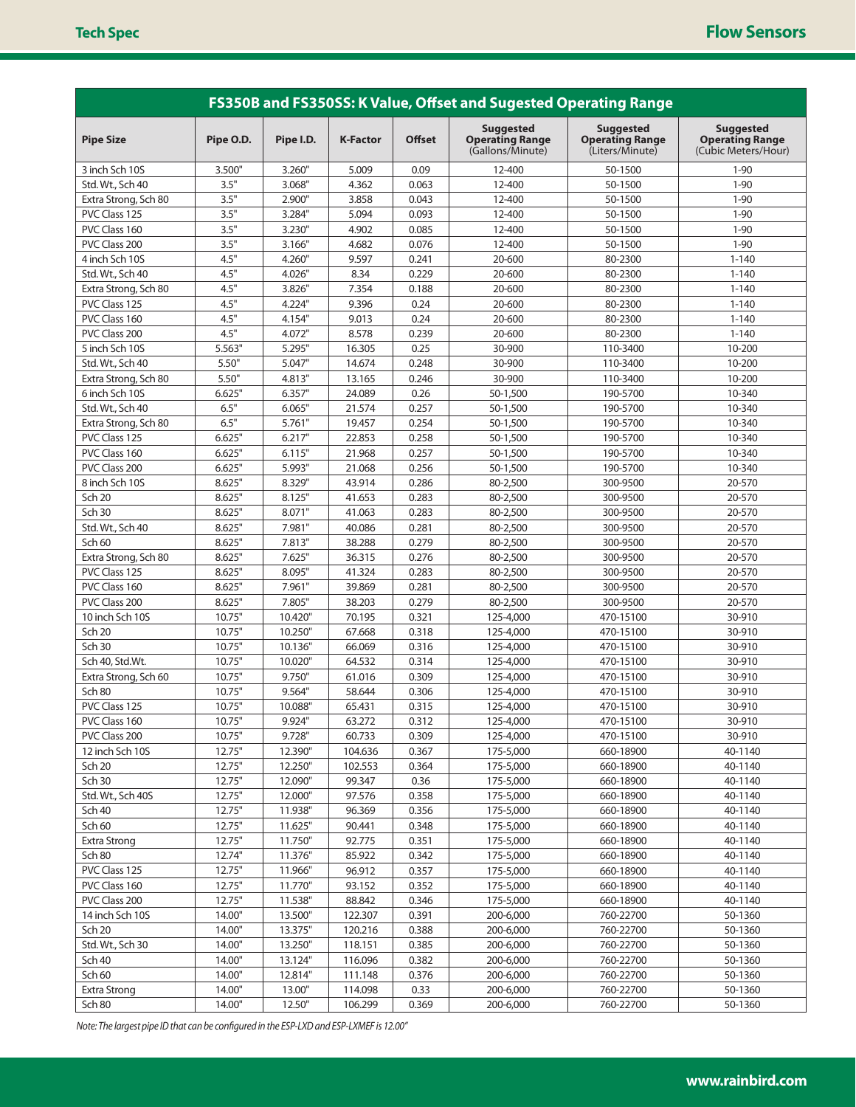| FS350B and FS350SS: K Value, Offset and Sugested Operating Range |           |           |                 |               |                                                                |                                                               |                                                                   |  |
|------------------------------------------------------------------|-----------|-----------|-----------------|---------------|----------------------------------------------------------------|---------------------------------------------------------------|-------------------------------------------------------------------|--|
| <b>Pipe Size</b>                                                 | Pipe O.D. | Pipe I.D. | <b>K-Factor</b> | <b>Offset</b> | <b>Suggested</b><br><b>Operating Range</b><br>(Gallons/Minute) | <b>Suggested</b><br><b>Operating Range</b><br>(Liters/Minute) | <b>Suggested</b><br><b>Operating Range</b><br>(Cubic Meters/Hour) |  |
| 3 inch Sch 10S                                                   | 3.500"    | 3.260"    | 5.009           | 0.09          | 12-400                                                         | 50-1500                                                       | $1 - 90$                                                          |  |
| Std. Wt., Sch 40                                                 | 3.5"      | 3.068"    | 4.362           | 0.063         | 12-400                                                         | 50-1500                                                       | $1 - 90$                                                          |  |
| Extra Strong, Sch 80                                             | 3.5"      | 2.900"    | 3.858           | 0.043         | 12-400                                                         | 50-1500                                                       | $1 - 90$                                                          |  |
| PVC Class 125                                                    | 3.5"      | 3.284"    | 5.094           | 0.093         | 12-400                                                         | 50-1500                                                       | $1 - 90$                                                          |  |
| PVC Class 160                                                    | 3.5"      | 3.230"    | 4.902           | 0.085         | 12-400                                                         | 50-1500                                                       | $1 - 90$                                                          |  |
| PVC Class 200                                                    | 3.5"      | 3.166"    | 4.682           | 0.076         | 12-400                                                         | 50-1500                                                       | $1 - 90$                                                          |  |
| 4 inch Sch 10S                                                   | 4.5"      | 4.260"    | 9.597           | 0.241         | 20-600                                                         | 80-2300                                                       | $1 - 140$                                                         |  |
| Std. Wt., Sch 40                                                 | 4.5"      | 4.026"    | 8.34            | 0.229         | 20-600                                                         | 80-2300                                                       | $1 - 140$                                                         |  |
| Extra Strong, Sch 80                                             | 4.5"      | 3.826"    | 7.354           | 0.188         | 20-600                                                         | 80-2300                                                       | $1 - 140$                                                         |  |
| PVC Class 125                                                    | 4.5"      | 4.224"    | 9.396           | 0.24          | 20-600                                                         | 80-2300                                                       | $1 - 140$                                                         |  |
| PVC Class 160                                                    | 4.5"      | 4.154"    | 9.013           | 0.24          | 20-600                                                         | 80-2300                                                       | $1 - 140$                                                         |  |
| PVC Class 200                                                    | 4.5"      | 4.072"    | 8.578           | 0.239         | 20-600                                                         | 80-2300                                                       | $1 - 140$                                                         |  |
| 5 inch Sch 10S                                                   | 5.563"    | 5.295"    | 16.305          | 0.25          | 30-900                                                         | 110-3400                                                      | 10-200                                                            |  |
| Std. Wt., Sch 40                                                 | 5.50"     | 5.047"    | 14.674          | 0.248         | 30-900                                                         | 110-3400                                                      | 10-200                                                            |  |
| Extra Strong, Sch 80                                             | 5.50"     | 4.813"    | 13.165          | 0.246         | 30-900                                                         | 110-3400                                                      | 10-200                                                            |  |
| 6 inch Sch 10S                                                   | 6.625"    | 6.357"    | 24.089          | 0.26          | 50-1,500                                                       | 190-5700                                                      | 10-340                                                            |  |
| Std. Wt., Sch 40                                                 | 6.5"      | 6.065"    | 21.574          | 0.257         | 50-1,500                                                       | 190-5700                                                      | 10-340                                                            |  |
| Extra Strong, Sch 80                                             | 6.5"      | 5.761"    | 19.457          | 0.254         | 50-1,500                                                       | 190-5700                                                      | 10-340                                                            |  |
| PVC Class 125                                                    | 6.625"    | 6.217"    | 22.853          | 0.258         | 50-1.500                                                       | 190-5700                                                      | 10-340                                                            |  |
| PVC Class 160                                                    | 6.625"    | 6.115"    | 21.968          | 0.257         | 50-1,500                                                       | 190-5700                                                      | 10-340                                                            |  |
| PVC Class 200                                                    | 6.625"    | 5.993"    | 21.068          | 0.256         | 50-1,500                                                       | 190-5700                                                      | 10-340                                                            |  |
| 8 inch Sch 10S                                                   | 8.625"    | 8.329"    | 43.914          | 0.286         | 80-2,500                                                       | 300-9500                                                      | 20-570                                                            |  |
| Sch 20                                                           | 8.625"    | 8.125"    | 41.653          | 0.283         | 80-2,500                                                       | 300-9500                                                      | 20-570                                                            |  |
| <b>Sch 30</b>                                                    | 8.625"    | 8.071"    | 41.063          | 0.283         | 80-2,500                                                       | 300-9500                                                      | 20-570                                                            |  |
|                                                                  |           |           |                 |               |                                                                |                                                               |                                                                   |  |
| Std. Wt., Sch 40                                                 | 8.625"    | 7.981"    | 40.086          | 0.281         | 80-2,500                                                       | 300-9500                                                      | 20-570                                                            |  |
| Sch 60                                                           | 8.625"    | 7.813"    | 38.288          | 0.279         | 80-2,500                                                       | 300-9500                                                      | 20-570                                                            |  |
| Extra Strong, Sch 80                                             | 8.625"    | 7.625"    | 36.315          | 0.276         | 80-2,500                                                       | 300-9500                                                      | 20-570                                                            |  |
| PVC Class 125                                                    | 8.625"    | 8.095"    | 41.324          | 0.283         | 80-2,500                                                       | 300-9500                                                      | 20-570                                                            |  |
| PVC Class 160                                                    | 8.625"    | 7.961"    | 39.869          | 0.281         | 80-2,500                                                       | 300-9500                                                      | 20-570                                                            |  |
| PVC Class 200                                                    | 8.625"    | 7.805"    | 38.203          | 0.279         | 80-2,500                                                       | 300-9500                                                      | 20-570                                                            |  |
| 10 inch Sch 10S                                                  | 10.75"    | 10.420"   | 70.195          | 0.321         | 125-4,000                                                      | 470-15100                                                     | 30-910                                                            |  |
| <b>Sch 20</b>                                                    | 10.75"    | 10.250"   | 67.668          | 0.318         | 125-4,000                                                      | 470-15100                                                     | 30-910                                                            |  |
| <b>Sch 30</b>                                                    | 10.75"    | 10.136"   | 66.069          | 0.316         | 125-4,000                                                      | 470-15100                                                     | 30-910                                                            |  |
| Sch 40, Std.Wt.                                                  | 10.75"    | 10.020"   | 64.532          | 0.314         | 125-4,000                                                      | 470-15100                                                     | 30-910                                                            |  |
| Extra Strong, Sch 60                                             | 10.75"    | 9.750"    | 61.016          | 0.309         | 125-4.000                                                      | 470-15100                                                     | 30-910                                                            |  |
| Sch 80                                                           | 10.75"    | 9.564"    | 58.644          | 0.306         | 125-4,000                                                      | 470-15100                                                     | 30-910                                                            |  |
| PVC Class 125                                                    | 10.75"    | 10.088"   | 65.431          | 0.315         | 125-4.000                                                      | 470-15100                                                     | 30-910                                                            |  |
| PVC Class 160                                                    | 10.75"    | 9.924"    | 63.272          | 0.312         | 125-4,000                                                      | 470-15100                                                     | 30-910                                                            |  |
| PVC Class 200                                                    | 10.75"    | 9.728"    | 60.733          | 0.309         | 125-4,000                                                      | 470-15100                                                     | 30-910                                                            |  |
| 12 inch Sch 10S                                                  | 12.75"    | 12.390"   | 104.636         | 0.367         | 175-5,000                                                      | 660-18900                                                     | 40-1140                                                           |  |
| Sch 20                                                           | 12.75"    | 12.250"   | 102.553         | 0.364         | 175-5,000                                                      | 660-18900                                                     | 40-1140                                                           |  |
| Sch 30                                                           | 12.75"    | 12.090"   | 99.347          | 0.36          | 175-5,000                                                      | 660-18900                                                     | 40-1140                                                           |  |
| Std. Wt., Sch 40S                                                | 12.75"    | 12.000"   | 97.576          | 0.358         | 175-5,000                                                      | 660-18900                                                     | 40-1140                                                           |  |
| Sch 40                                                           | 12.75"    | 11.938"   | 96.369          | 0.356         | 175-5,000                                                      | 660-18900                                                     | 40-1140                                                           |  |
| Sch 60                                                           | 12.75"    | 11.625"   | 90.441          | 0.348         | 175-5,000                                                      | 660-18900                                                     | 40-1140                                                           |  |
| <b>Extra Strong</b>                                              | 12.75"    | 11.750"   | 92.775          | 0.351         | 175-5,000                                                      | 660-18900                                                     | 40-1140                                                           |  |
| Sch 80                                                           | 12.74"    | 11.376"   | 85.922          | 0.342         | 175-5,000                                                      | 660-18900                                                     | 40-1140                                                           |  |
| PVC Class 125                                                    | 12.75"    | 11.966"   | 96.912          | 0.357         | 175-5,000                                                      | 660-18900                                                     | 40-1140                                                           |  |
| PVC Class 160                                                    | 12.75"    | 11.770"   | 93.152          | 0.352         | 175-5,000                                                      | 660-18900                                                     | 40-1140                                                           |  |
| PVC Class 200                                                    | 12.75"    | 11.538"   | 88.842          | 0.346         | 175-5,000                                                      | 660-18900                                                     | 40-1140                                                           |  |
| 14 inch Sch 10S                                                  | 14.00"    | 13.500"   | 122.307         | 0.391         | 200-6,000                                                      | 760-22700                                                     | 50-1360                                                           |  |
| <b>Sch 20</b>                                                    | 14.00"    | 13.375"   | 120.216         | 0.388         | 200-6,000                                                      | 760-22700                                                     | 50-1360                                                           |  |
| Std. Wt., Sch 30                                                 | 14.00"    | 13.250"   | 118.151         | 0.385         | 200-6,000                                                      | 760-22700                                                     | 50-1360                                                           |  |
| Sch 40                                                           | 14.00"    | 13.124"   | 116.096         | 0.382         | 200-6,000                                                      | 760-22700                                                     | 50-1360                                                           |  |
| Sch 60                                                           | 14.00"    | 12.814"   | 111.148         | 0.376         | 200-6,000                                                      | 760-22700                                                     | 50-1360                                                           |  |
| Extra Strong                                                     | 14.00"    | 13.00"    | 114.098         | 0.33          | 200-6,000                                                      | 760-22700                                                     | 50-1360                                                           |  |
| Sch 80                                                           | 14.00"    | 12.50"    | 106.299         | 0.369         | 200-6,000                                                      | 760-22700                                                     | 50-1360                                                           |  |

*Note: The largest pipe ID that can be configured in the ESP-LXD and ESP-LXMEF is 12.00"*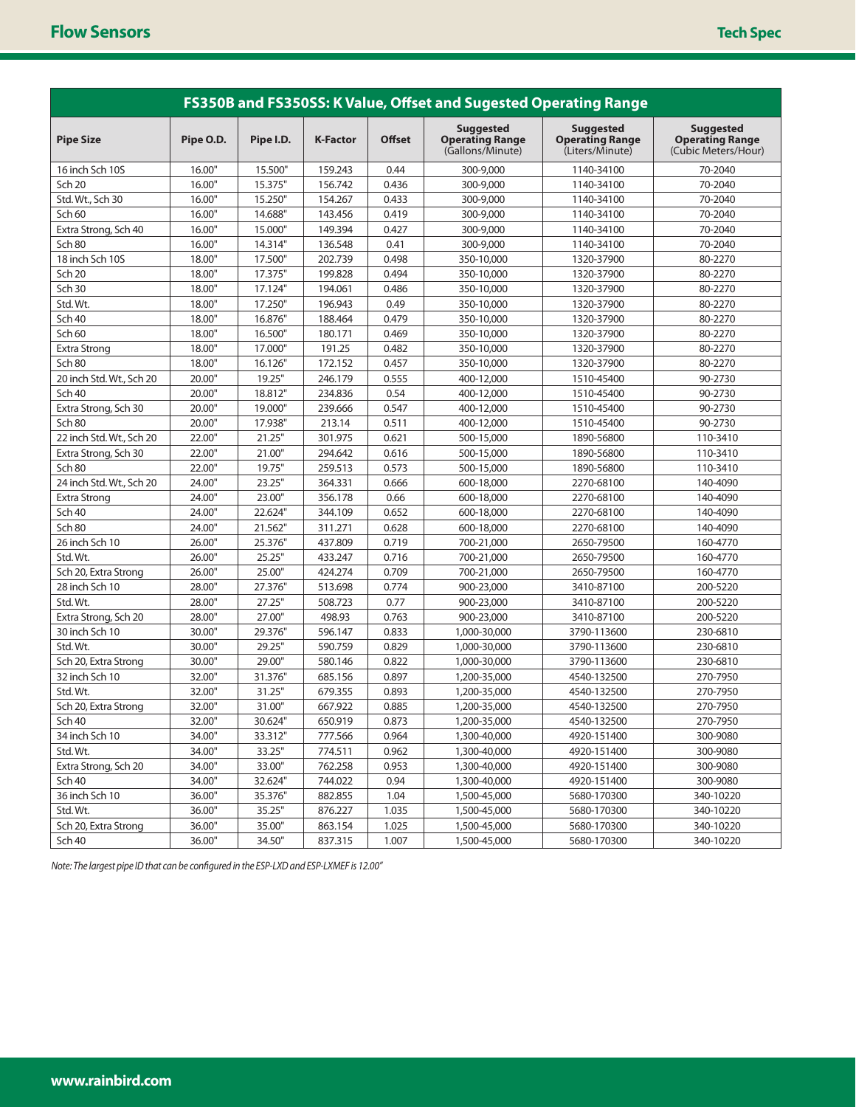| FS350B and FS350SS: K Value, Offset and Sugested Operating Range |           |           |                 |               |                                                                |                                                               |                                                                   |  |
|------------------------------------------------------------------|-----------|-----------|-----------------|---------------|----------------------------------------------------------------|---------------------------------------------------------------|-------------------------------------------------------------------|--|
| <b>Pipe Size</b>                                                 | Pipe O.D. | Pipe I.D. | <b>K-Factor</b> | <b>Offset</b> | <b>Suggested</b><br><b>Operating Range</b><br>(Gallons/Minute) | <b>Suggested</b><br><b>Operating Range</b><br>(Liters/Minute) | <b>Suggested</b><br><b>Operating Range</b><br>(Cubic Meters/Hour) |  |
| 16 inch Sch 10S                                                  | 16.00"    | 15.500"   | 159.243         | 0.44          | 300-9,000                                                      | 1140-34100                                                    | 70-2040                                                           |  |
| <b>Sch 20</b>                                                    | 16.00"    | 15.375"   | 156.742         | 0.436         | 300-9,000                                                      | 1140-34100                                                    | 70-2040                                                           |  |
| Std. Wt., Sch 30                                                 | 16.00"    | 15.250"   | 154.267         | 0.433         | 300-9,000                                                      | 1140-34100                                                    | 70-2040                                                           |  |
| Sch 60                                                           | 16.00"    | 14.688"   | 143.456         | 0.419         | 300-9,000                                                      | 1140-34100                                                    | 70-2040                                                           |  |
| Extra Strong, Sch 40                                             | 16.00"    | 15.000"   | 149.394         | 0.427         | 300-9,000                                                      | 1140-34100                                                    | 70-2040                                                           |  |
| <b>Sch 80</b>                                                    | 16.00"    | 14.314"   | 136.548         | 0.41          | 300-9,000                                                      | 1140-34100                                                    | 70-2040                                                           |  |
| 18 inch Sch 10S                                                  | 18.00"    | 17.500"   | 202.739         | 0.498         | 350-10,000                                                     | 1320-37900                                                    | 80-2270                                                           |  |
| <b>Sch 20</b>                                                    | 18.00"    | 17.375"   | 199.828         | 0.494         | 350-10,000                                                     | 1320-37900                                                    | 80-2270                                                           |  |
| <b>Sch 30</b>                                                    | 18.00"    | 17.124"   | 194.061         | 0.486         | 350-10,000                                                     | 1320-37900                                                    | 80-2270                                                           |  |
| Std. Wt.                                                         | 18.00"    | 17.250"   | 196.943         | 0.49          | 350-10,000                                                     | 1320-37900                                                    | 80-2270                                                           |  |
| Sch 40                                                           | 18.00"    | 16.876"   | 188.464         | 0.479         | 350-10,000                                                     | 1320-37900                                                    | 80-2270                                                           |  |
| Sch 60                                                           | 18.00"    | 16.500"   | 180.171         | 0.469         | 350-10,000                                                     | 1320-37900                                                    | 80-2270                                                           |  |
| <b>Extra Strong</b>                                              | 18.00"    | 17.000"   | 191.25          | 0.482         | 350-10,000                                                     | 1320-37900                                                    | 80-2270                                                           |  |
| Sch 80                                                           | 18.00"    | 16.126"   | 172.152         | 0.457         | 350-10,000                                                     | 1320-37900                                                    | 80-2270                                                           |  |
| 20 inch Std. Wt., Sch 20                                         | 20.00"    | 19.25"    | 246.179         | 0.555         | 400-12,000                                                     | 1510-45400                                                    | 90-2730                                                           |  |
| Sch 40                                                           | 20.00"    | 18.812"   | 234.836         | 0.54          | 400-12,000                                                     | 1510-45400                                                    | 90-2730                                                           |  |
| Extra Strong, Sch 30                                             | 20.00"    | 19.000"   | 239.666         | 0.547         | 400-12,000                                                     | 1510-45400                                                    | 90-2730                                                           |  |
| Sch 80                                                           | 20.00"    | 17.938"   | 213.14          | 0.511         | 400-12,000                                                     | 1510-45400                                                    | 90-2730                                                           |  |
| 22 inch Std. Wt., Sch 20                                         | 22.00"    | 21.25"    | 301.975         | 0.621         | 500-15,000                                                     | 1890-56800                                                    | 110-3410                                                          |  |
| Extra Strong, Sch 30                                             | 22.00"    | 21.00"    | 294.642         | 0.616         | 500-15,000                                                     | 1890-56800                                                    | 110-3410                                                          |  |
| Sch 80                                                           | 22.00"    | 19.75"    | 259.513         | 0.573         | 500-15,000                                                     | 1890-56800                                                    | 110-3410                                                          |  |
| 24 inch Std. Wt., Sch 20                                         | 24.00"    | 23.25"    | 364.331         | 0.666         | 600-18,000                                                     | 2270-68100                                                    | 140-4090                                                          |  |
| <b>Extra Strong</b>                                              | 24.00"    | 23.00"    | 356.178         | 0.66          | 600-18,000                                                     | 2270-68100                                                    | 140-4090                                                          |  |
| <b>Sch 40</b>                                                    | 24.00"    | 22.624"   | 344.109         | 0.652         | 600-18,000                                                     | 2270-68100                                                    | 140-4090                                                          |  |
| Sch 80                                                           | 24.00"    | 21.562"   | 311.271         | 0.628         | 600-18,000                                                     | 2270-68100                                                    | 140-4090                                                          |  |
| 26 inch Sch 10                                                   | 26.00"    | 25.376"   | 437.809         | 0.719         | 700-21,000                                                     | 2650-79500                                                    | 160-4770                                                          |  |
| Std. Wt.                                                         | 26.00"    | 25.25"    | 433.247         | 0.716         | 700-21,000                                                     | 2650-79500                                                    | 160-4770                                                          |  |
| Sch 20, Extra Strong                                             | 26.00"    | 25.00"    | 424.274         | 0.709         | 700-21,000                                                     | 2650-79500                                                    | 160-4770                                                          |  |
| 28 inch Sch 10                                                   | 28.00"    | 27.376"   | 513.698         | 0.774         | 900-23,000                                                     | 3410-87100                                                    | 200-5220                                                          |  |
| Std. Wt.                                                         | 28.00"    | 27.25"    | 508.723         | 0.77          | 900-23,000                                                     | 3410-87100                                                    | 200-5220                                                          |  |
| Extra Strong, Sch 20                                             | 28.00"    | 27.00"    | 498.93          | 0.763         | 900-23,000                                                     | 3410-87100                                                    | 200-5220                                                          |  |
| 30 inch Sch 10                                                   | 30.00"    | 29.376"   | 596.147         | 0.833         | 1,000-30,000                                                   | 3790-113600                                                   | 230-6810                                                          |  |
| Std. Wt.                                                         | 30.00"    | 29.25"    | 590.759         | 0.829         | 1,000-30,000                                                   | 3790-113600                                                   | 230-6810                                                          |  |
| Sch 20, Extra Strong                                             | 30.00"    | 29.00"    | 580.146         | 0.822         | 1,000-30,000                                                   | 3790-113600                                                   | 230-6810                                                          |  |
| 32 inch Sch 10                                                   | 32.00"    | 31.376"   | 685.156         | 0.897         | 1,200-35,000                                                   | 4540-132500                                                   | 270-7950                                                          |  |
| Std. Wt.                                                         | 32.00"    | 31.25"    | 679.355         | 0.893         | 1,200-35,000                                                   | 4540-132500                                                   | 270-7950                                                          |  |
| Sch 20, Extra Strong                                             | 32.00"    | 31.00"    | 667.922         | 0.885         | 1,200-35,000                                                   | 4540-132500                                                   | 270-7950                                                          |  |
| Sch 40                                                           | 32.00"    | 30.624"   | 650.919         | 0.873         | 1,200-35,000                                                   | 4540-132500                                                   | 270-7950                                                          |  |
| 34 inch Sch 10                                                   | 34.00"    | 33.312"   | 777.566         | 0.964         | 1,300-40,000                                                   | 4920-151400                                                   | 300-9080                                                          |  |
| Std. Wt.                                                         | 34.00"    | 33.25"    | 774.511         | 0.962         | 1,300-40,000                                                   | 4920-151400                                                   | 300-9080                                                          |  |
| Extra Strong, Sch 20                                             | 34.00"    | 33.00"    | 762.258         | 0.953         | 1,300-40,000                                                   | 4920-151400                                                   | 300-9080                                                          |  |
| Sch 40                                                           | 34.00"    | 32.624"   | 744.022         | 0.94          | 1,300-40,000                                                   | 4920-151400                                                   | 300-9080                                                          |  |
| 36 inch Sch 10                                                   | 36.00"    | 35.376"   | 882.855         | 1.04          | 1,500-45,000                                                   | 5680-170300                                                   | 340-10220                                                         |  |
| Std. Wt.                                                         | 36.00"    | 35.25"    | 876.227         | 1.035         | 1,500-45,000                                                   | 5680-170300                                                   | 340-10220                                                         |  |
| Sch 20, Extra Strong                                             | 36.00"    | 35.00"    | 863.154         | 1.025         | 1,500-45,000                                                   | 5680-170300                                                   | 340-10220                                                         |  |
| Sch 40                                                           | 36.00"    | 34.50"    | 837.315         | 1.007         | 1,500-45,000                                                   | 5680-170300                                                   | 340-10220                                                         |  |

*Note: The largest pipe ID that can be configured in the ESP-LXD and ESP-LXMEF is 12.00"*